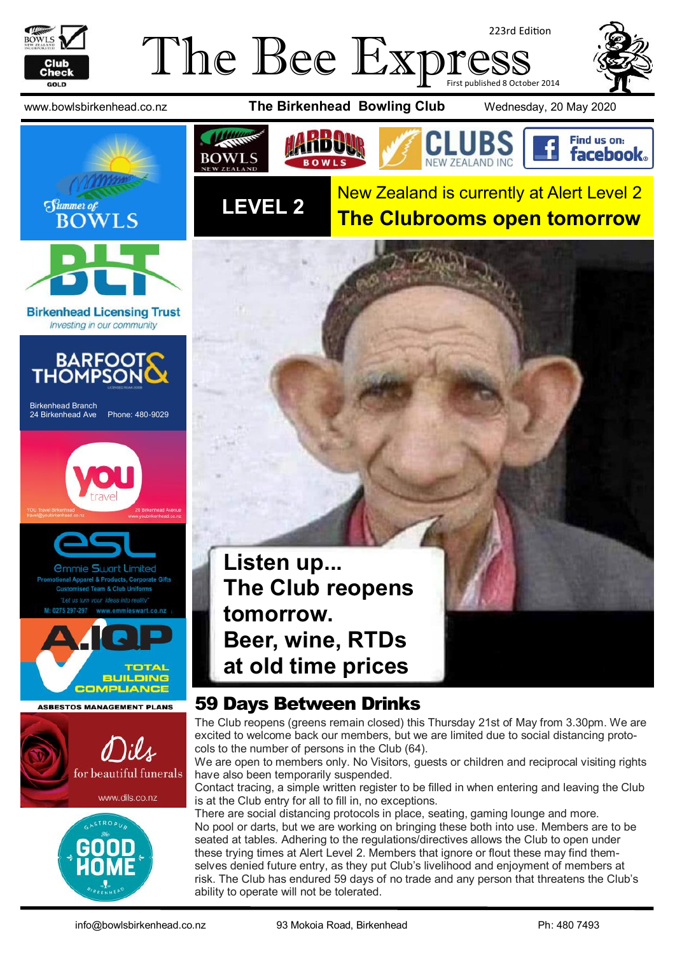

#### The Bee Expre 223rd Edition First published 8 October 2014



**Birkenhead Licensing Trust** Investing in our community



Birkenhead Branch 24 Birkenhead Ave Phone: 480-9029













www.bowlsbirkenhead.co.nz **The Birkenhead Bowling Club** Wednesday, 20 May 2020





New Zealand is currently at Alert Level 2 **The Clubrooms open tomorrow**



#### 59 Days Between Drinks

The Club reopens (greens remain closed) this Thursday 21st of May from 3.30pm. We are excited to welcome back our members, but we are limited due to social distancing protocols to the number of persons in the Club (64).

We are open to members only. No Visitors, guests or children and reciprocal visiting rights have also been temporarily suspended.

Contact tracing, a simple written register to be filled in when entering and leaving the Club is at the Club entry for all to fill in, no exceptions.

There are social distancing protocols in place, seating, gaming lounge and more. No pool or darts, but we are working on bringing these both into use. Members are to be seated at tables. Adhering to the regulations/directives allows the Club to open under these trying times at Alert Level 2. Members that ignore or flout these may find themselves denied future entry, as they put Club's livelihood and enjoyment of members at risk. The Club has endured 59 days of no trade and any person that threatens the Club's ability to operate will not be tolerated.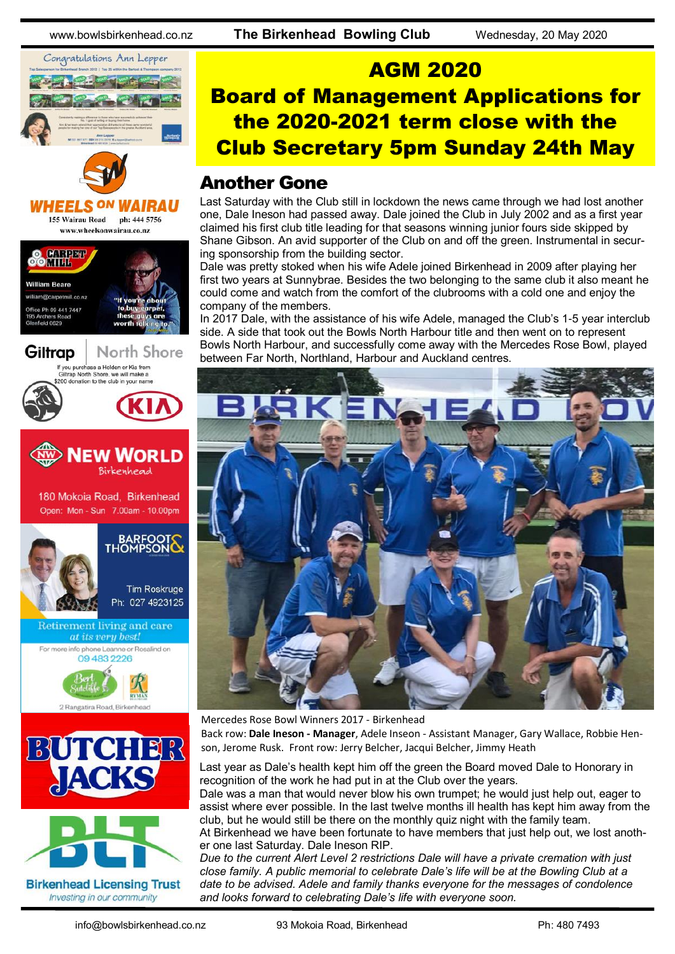







## AGM 2020 Board of Management Applications for the 2020-2021 term close with the Club Secretary 5pm Sunday 24th May

#### Another Gone

Last Saturday with the Club still in lockdown the news came through we had lost another one, Dale Ineson had passed away. Dale joined the Club in July 2002 and as a first year claimed his first club title leading for that seasons winning junior fours side skipped by Shane Gibson. An avid supporter of the Club on and off the green. Instrumental in securing sponsorship from the building sector.

Dale was pretty stoked when his wife Adele joined Birkenhead in 2009 after playing her first two years at Sunnybrae. Besides the two belonging to the same club it also meant he could come and watch from the comfort of the clubrooms with a cold one and enjoy the company of the members.

In 2017 Dale, with the assistance of his wife Adele, managed the Club's 1-5 year interclub side. A side that took out the Bowls North Harbour title and then went on to represent Bowls North Harbour, and successfully come away with the Mercedes Rose Bowl, played between Far North, Northland, Harbour and Auckland centres.



Mercedes Rose Bowl Winners 2017 - Birkenhead

Back row: **Dale Ineson - Manager**, Adele Inseon - Assistant Manager, Gary Wallace, Robbie Henson, Jerome Rusk. Front row: Jerry Belcher, Jacqui Belcher, Jimmy Heath

Last year as Dale's health kept him off the green the Board moved Dale to Honorary in recognition of the work he had put in at the Club over the years.

Dale was a man that would never blow his own trumpet; he would just help out, eager to assist where ever possible. In the last twelve months ill health has kept him away from the club, but he would still be there on the monthly quiz night with the family team.

At Birkenhead we have been fortunate to have members that just help out, we lost another one last Saturday. Dale Ineson RIP.

*Due to the current Alert Level 2 restrictions Dale will have a private cremation with just close family. A public memorial to celebrate Dale's life will be at the Bowling Club at a date to be advised. Adele and family thanks everyone for the messages of condolence and looks forward to celebrating Dale's life with everyone soon.*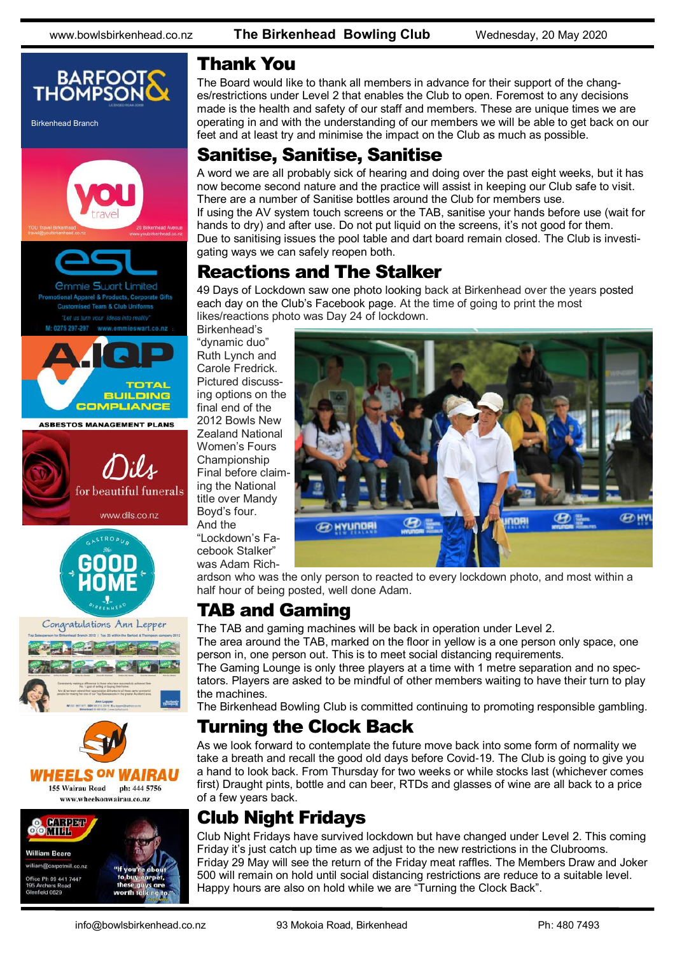www.bowlsbirkenhead.co.nz **The Birkenhead Bowling Club** Wednesday, 20 May 2020



#### Thank You

The Board would like to thank all members in advance for their support of the changes/restrictions under Level 2 that enables the Club to open. Foremost to any decisions made is the health and safety of our staff and members. These are unique times we are operating in and with the understanding of our members we will be able to get back on our feet and at least try and minimise the impact on the Club as much as possible.

#### Sanitise, Sanitise, Sanitise

A word we are all probably sick of hearing and doing over the past eight weeks, but it has now become second nature and the practice will assist in keeping our Club safe to visit. There are a number of Sanitise bottles around the Club for members use. If using the AV system touch screens or the TAB, sanitise your hands before use (wait for hands to dry) and after use. Do not put liquid on the screens, it's not good for them. Due to sanitising issues the pool table and dart board remain closed. The Club is investigating ways we can safely reopen both.

## Reactions and The Stalker

49 Days of Lockdown saw one photo looking back at Birkenhead over the years posted each day on the Club's Facebook page. At the time of going to print the most likes/reactions photo was Day 24 of lockdown.

Birkenhead's "dynamic duo" Ruth Lynch and Carole Fredrick. Pictured discussing options on the final end of the 2012 Bowls New Zealand National Women's Fours Championship Final before claiming the National title over Mandy Boyd's four. And the "Lockdown's Facebook Stalker"

was Adam Rich-



ardson who was the only person to reacted to every lockdown photo, and most within a half hour of being posted, well done Adam.

## TAB and Gaming

The TAB and gaming machines will be back in operation under Level 2.

The area around the TAB, marked on the floor in yellow is a one person only space, one person in, one person out. This is to meet social distancing requirements.

The Gaming Lounge is only three players at a time with 1 metre separation and no spectators. Players are asked to be mindful of other members waiting to have their turn to play the machines.

The Birkenhead Bowling Club is committed continuing to promoting responsible gambling.

## Turning the Clock Back

As we look forward to contemplate the future move back into some form of normality we take a breath and recall the good old days before Covid-19. The Club is going to give you a hand to look back. From Thursday for two weeks or while stocks last (whichever comes first) Draught pints, bottle and can beer, RTDs and glasses of wine are all back to a price of a few years back.

## Club Night Fridays

Club Night Fridays have survived lockdown but have changed under Level 2. This coming Friday it's just catch up time as we adjust to the new restrictions in the Clubrooms. Friday 29 May will see the return of the Friday meat raffles. The Members Draw and Joker 500 will remain on hold until social distancing restrictions are reduce to a suitable level. Happy hours are also on hold while we are "Turning the Clock Back".